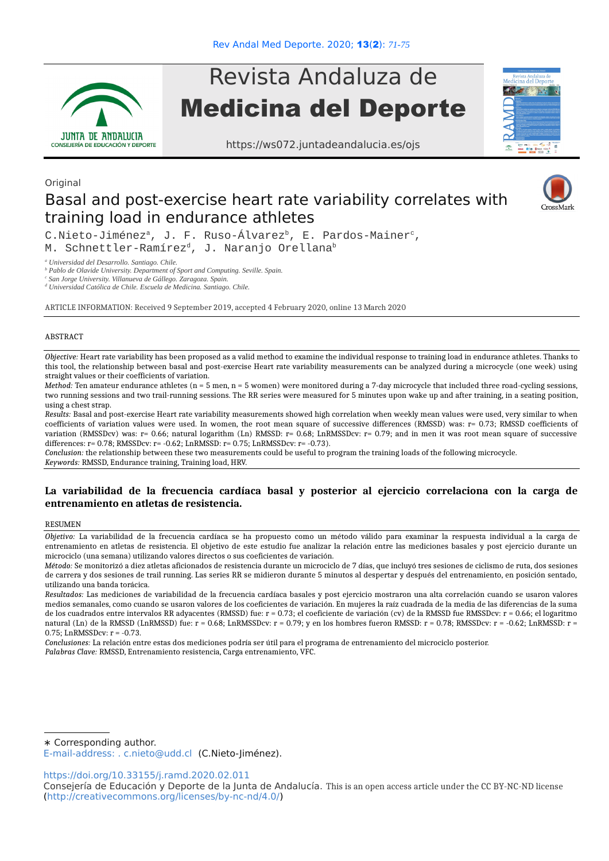

# Revista Andaluza de Medicina del Deporte

https://ws072.juntadeandalucia.es/ojs



# Basal and post-exercise heart rate variability correlates with training load in endurance athletes



C.Nieto-Jiménez<sup>a</sup>, J. F. Ruso-Álvarez<sup>b</sup>, E. Pardos-Mainer<sup>c</sup>, M. Schnettler-Ramírez<sup>d</sup>, J. Naranjo Orellana<sup>b</sup>

*a Universidad del Desarrollo. Santiago. Chile.* 

<sup>*b*</sup> Pablo de Olavide University. Department of Sport and Computing. Seville. Spain.

*c San Jorge University. Villanueva de Gállego. Zaragoza. Spain.*

*d Universidad Católica de Chile. Escuela de Medicina. Santiago. Chile.*

ARTICLE INFORMATION: Received 9 September 2019, accepted 4 February 2020, online 13 March 2020

## ABSTRACT

**Original** 

*Objective:* Heart rate variability has been proposed as a valid method to examine the individual response to training load in endurance athletes. Thanks to this tool, the relationship between basal and post-exercise Heart rate variability measurements can be analyzed during a microcycle (one week) using straight values or their coefficients of variation.

*Method:* Ten amateur endurance athletes (n = 5 men, n = 5 women) were monitored during a 7-day microcycle that included three road-cycling sessions, two running sessions and two trail-running sessions. The RR series were measured for 5 minutes upon wake up and after training, in a seating position, using a chest strap.

*Results:* Basal and post-exercise Heart rate variability measurements showed high correlation when weekly mean values were used, very similar to when coefficients of variation values were used. In women, the root mean square of successive differences (RMSSD) was: r= 0.73; RMSSD coefficients of variation (RMSSDcv) was:  $r= 0.66$ ; natural logarithm (Ln) RMSSD:  $r= 0.68$ ; LnRMSSDcv:  $r= 0.79$ ; and in men it was root mean square of successive differences: r= 0.78; RMSSDcv: r= -0.62; LnRMSSD: r= 0.75; LnRMSSDcv: r= -0.73).

*Conclusion:* the relationship between these two measurements could be useful to program the training loads of the following microcycle. *Keywords:* RMSSD, Endurance training, Training load, HRV.

# **La variabilidad de la frecuencia cardíaca basal y posterior al ejercicio correlaciona con la carga de entrenamiento en atletas de resistencia.**

## **RESUMEN**

*Objetivo:* La variabilidad de la frecuencia cardíaca se ha propuesto como un método válido para examinar la respuesta individual a la carga de entrenamiento en atletas de resistencia. El objetivo de este estudio fue analizar la relación entre las mediciones basales y post ejercicio durante un microciclo (una semana) utilizando valores directos o sus coeficientes de variación.

*Conclusiones:* La relación entre estas dos mediciones podría ser útil para el programa de entrenamiento del microciclo posterior. *Palabras Clave:* RMSSD, Entrenamiento resistencia, Carga entrenamiento, VFC.

∗ Corresponding author.

E-mail-address: . c.nieto@udd.cl (C.Nieto-Jiménez).

<https://doi.org/10.33155/j.ramd.2020.02.011>

*Método:* Se monitorizó a diez atletas aficionados de resistencia durante un microciclo de 7 días, que incluyó tres sesiones de ciclismo de ruta, dos sesiones de carrera y dos sesiones de trail running. Las series RR se midieron durante 5 minutos al despertar y después del entrenamiento, en posición sentado, utilizando una banda torácica.

*Resultados:* Las mediciones de variabilidad de la frecuencia cardíaca basales y post ejercicio mostraron una alta correlación cuando se usaron valores medios semanales, como cuando se usaron valores de los coeficientes de variación. En mujeres la raíz cuadrada de la media de las diferencias de la suma de los cuadrados entre intervalos RR adyacentes (RMSSD) fue: r = 0.73; el coeficiente de variación (cv) de la RMSSD fue RMSSDcv: r = 0.66; el logaritmo natural (Ln) de la RMSSD (LnRMSSD) fue:  $r = 0.68$ ; LnRMSSDcv;  $r = 0.79$ ; y en los hombres fueron RMSSD;  $r = 0.78$ ; RMSSDcv;  $r = -0.62$ ; LnRMSSD;  $r =$ 0.75; LnRMSSDcv: r = -0.73.

Consejería de Educación y Deporte de la Junta de Andalucía. This is an open access article under the CC BY-NC-ND license [\(http://creativecommons.org/licenses/by-nc-nd/4.0/\)](http://creativecommons.org/licenses/by-nc-nd/4.0/)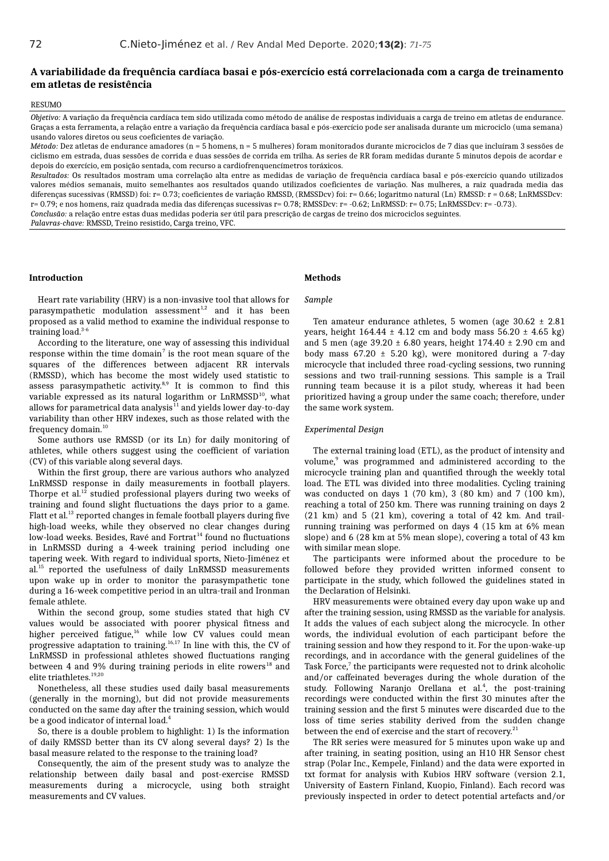# **A variabilidade da frequência cardíaca basai e pós-exercício está correlacionada com a carga de treinamento em atletas de resistência**

#### **RESUMO**

*Objetivo:* A variação da frequência cardíaca tem sido utilizada como método de análise de respostas individuais a carga de treino em atletas de endurance. Graças a esta ferramenta, a relação entre a variação da frequência cardíaca basal e pós-exercício pode ser analisada durante um microciclo (uma semana) usando valores diretos ou seus coeficientes de variação.

*Método:* Dez atletas de endurance amadores (n = 5 homens, n = 5 mulheres) foram monitorados durante microciclos de 7 dias que incluíram 3 sessões de ciclismo em estrada, duas sessões de corrida e duas sessões de corrida em trilha. As series de RR foram medidas durante 5 minutos depois de acordar e depois do exercício, em posição sentada, com recurso a cardiofrenquencímetros toráxicos.

*Resultados:* Os resultados mostram uma correlação alta entre as medidas de variação de frequência cardíaca basal e pós-exercício quando utilizados valores médios semanais, muito semelhantes aos resultados quando utilizados coeficientes de variação. Nas mulheres, a raiz quadrada media das diferenças sucessivas (RMSSD) foi: r= 0.73; coeficientes de variação RMSSD, (RMSSDcv) foi: r= 0.66; logaritmo natural (Ln) RMSSD: r = 0.68; LnRMSSDcv: r= 0.79; e nos homens, raiz quadrada media das diferenças sucessivas r= 0.78; RMSSDcv: r= -0.62; LnRMSSD: r= 0.75; LnRMSSDcv: r= -0.73).

*Conclusão:* a relação entre estas duas medidas poderia ser útil para prescrição de cargas de treino dos microciclos seguintes.

*Palavras-chave:* RMSSD, Treino resistido, Carga treino, VFC.

# **Introduction**

# **Methods**

Heart rate variability (HRV) is a non-invasive tool that allows for parasympathetic modulation assessment $1,2$  and it has been proposed as a valid method to examine the individual response to training load.<sup>3-6</sup>

According to the literature, one way of assessing this individual response within the time domain<sup>7</sup> is the root mean square of the squares of the differences between adjacent RR intervals (RMSSD), which has become the most widely used statistic to assess parasympathetic activity. $8,9$  It is common to find this variable expressed as its natural logarithm or LnRMSSD<sup>10</sup>, what allows for parametrical data analysis $^{11}$  and yields lower day-to-day variability than other HRV indexes, such as those related with the frequency domain.<sup>10</sup>

Some authors use RMSSD (or its Ln) for daily monitoring of athletes, while others suggest using the coefficient of variation (CV) of this variable along several days.

Within the first group, there are various authors who analyzed LnRMSSD response in daily measurements in football players. Thorpe et al.<sup>12</sup> studied professional players during two weeks of training and found slight fluctuations the days prior to a game. Flatt et al.<sup>13</sup> reported changes in female football players during five high-load weeks, while they observed no clear changes during low-load weeks. Besides, Ravé and Fortrat<sup>14</sup> found no fluctuations in LnRMSSD during a 4-week training period including one tapering week. With regard to individual sports, Nieto-Jiménez et al.<sup>15</sup> reported the usefulness of daily LnRMSSD measurements upon wake up in order to monitor the parasympathetic tone during a 16-week competitive period in an ultra-trail and Ironman female athlete.

Within the second group, some studies stated that high CV values would be associated with poorer physical fitness and higher perceived fatigue,<sup>16</sup> while low CV values could mean progressive adaptation to training.<sup>16,17</sup> In line with this, the CV of LnRMSSD in professional athletes showed fluctuations ranging between 4 and 9% during training periods in elite rowers<sup>18</sup> and elite triathletes.<sup>19,20</sup>

Nonetheless, all these studies used daily basal measurements (generally in the morning), but did not provide measurements conducted on the same day after the training session, which would be a good indicator of internal load.<sup>4</sup>

So, there is a double problem to highlight: 1) Is the information of daily RMSSD better than its CV along several days? 2) Is the basal measure related to the response to the training load?

Consequently, the aim of the present study was to analyze the relationship between daily basal and post-exercise RMSSD measurements during a microcycle, using both straight measurements and CV values.

# *Sample*

Ten amateur endurance athletes, 5 women (age  $30.62 \pm 2.81$ ) years, height  $164.44 \pm 4.12$  cm and body mass  $56.20 \pm 4.65$  kg) and 5 men (age  $39.20 \pm 6.80$  years, height  $174.40 \pm 2.90$  cm and body mass  $67.20 \pm 5.20$  kg), were monitored during a 7-day microcycle that included three road-cycling sessions, two running sessions and two trail-running sessions. This sample is a Trail running team because it is a pilot study, whereas it had been prioritized having a group under the same coach; therefore, under the same work system.

# *Experimental Design*

The external training load (ETL), as the product of intensity and volume,<sup>9</sup> was programmed and administered according to the microcycle training plan and quantified through the weekly total load. The ETL was divided into three modalities. Cycling training was conducted on days 1 (70 km), 3 (80 km) and 7 (100 km), reaching a total of 250 km. There was running training on days 2 (21 km) and 5 (21 km), covering a total of 42 km. And trailrunning training was performed on days 4 (15 km at 6% mean slope) and 6 (28 km at 5% mean slope), covering a total of 43 km with similar mean slope.

The participants were informed about the procedure to be followed before they provided written informed consent to participate in the study, which followed the guidelines stated in the Declaration of Helsinki.

HRV measurements were obtained every day upon wake up and after the training session, using RMSSD as the variable for analysis. It adds the values of each subject along the microcycle. In other words, the individual evolution of each participant before the training session and how they respond to it. For the upon-wake-up recordings, and in accordance with the general guidelines of the Task Force, $7$  the participants were requested not to drink alcoholic and/or caffeinated beverages during the whole duration of the study. Following Naranjo Orellana et al.<sup>4</sup>, the post-training recordings were conducted within the first 30 minutes after the training session and the first 5 minutes were discarded due to the loss of time series stability derived from the sudden change between the end of exercise and the start of recovery.<sup>21</sup>

The RR series were measured for 5 minutes upon wake up and after training, in seating position, using an H10 HR Sensor chest strap (Polar Inc., Kempele, Finland) and the data were exported in txt format for analysis with Kubios HRV software (version 2.1, University of Eastern Finland, Kuopio, Finland). Each record was previously inspected in order to detect potential artefacts and/or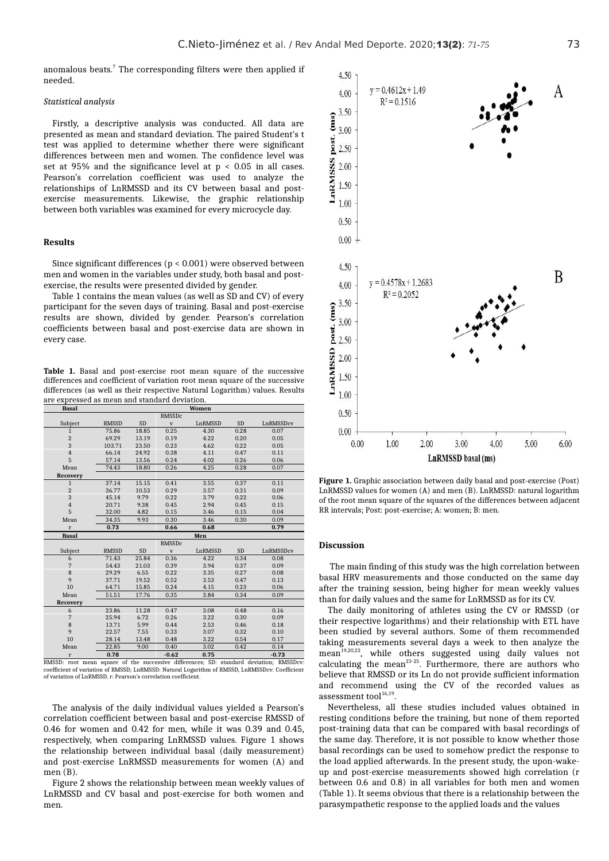anomalous beats.<sup>7</sup> The corresponding filters were then applied if needed.

#### *Statistical analysis*

Firstly, a descriptive analysis was conducted. All data are presented as mean and standard deviation. The paired Student's t test was applied to determine whether there were significant differences between men and women. The confidence level was set at 95% and the significance level at p < 0.05 in all cases. Pearson's correlation coefficient was used to analyze the relationships of LnRMSSD and its CV between basal and postexercise measurements. Likewise, the graphic relationship between both variables was examined for every microcycle day.

# **Results**

Since significant differences (p < 0.001) were observed between men and women in the variables under study, both basal and postexercise, the results were presented divided by gender.

Table 1 contains the mean values (as well as SD and CV) of every participant for the seven days of training. Basal and post-exercise results are shown, divided by gender. Pearson's correlation coefficients between basal and post-exercise data are shown in every case.

**Table 1.** Basal and post-exercise root mean square of the successive differences and coefficient of variation root mean square of the successive differences (as well as their respective Natural Logarithm) values. Results are expressed as mean and standard deviation.

| <b>Basal</b>                   |                |           |                 | Women          |           |                          |
|--------------------------------|----------------|-----------|-----------------|----------------|-----------|--------------------------|
|                                |                |           | <b>RMSSDc</b>   |                |           |                          |
| Subject                        | <b>RMSSD</b>   | <b>SD</b> | $\mathbf{V}$    | LnRMSSD        | <b>SD</b> | LnRMSSDcv                |
| $\mathbf{1}$                   | 75.86          | 18.85     | 0.25            | 4.30           | 0.28      | 0.07                     |
| $\overline{2}$                 | 69.29          | 13.19     | 0.19            | 4.22           | 0.20      | 0.05                     |
| 3                              | 103.71         | 23.50     | 0.23            | 4.62           | 0.22      | 0.05                     |
| $\,4$                          | 66.14          | 24.92     | 0.38            | 4.11           | 0.47      | 0.11                     |
| 5                              | 57.14          | 13.56     | 0.24            | 4.02           | 0.26      | 0.06                     |
| Mean                           | 74.43          | 18.80     | 0.26            | 4.25           | 0.28      | 0.07                     |
| Recovery                       |                |           |                 |                |           |                          |
| $\mathbf{1}$                   | 37.14          | 15.15     | 0.41            | 3.55           | 0.37      | 0.11                     |
| $\overline{2}$                 | 36.77          | 10.53     | 0.29            | 3.57           | 0.31      | 0.09                     |
| 3                              | 45.14          | 9.79      | 0.22            | 3.79           | 0.22      | 0.06                     |
| $\,4$                          | 20.71          | 9.38      | 0.45            | 2.94           | 0.45      | 0.15                     |
| 5                              | 32.00          | 4.82      | 0.15            | 3.46           | 0.15      | 0.04                     |
| Mean                           | 34.35          | 9.93      | 0.30            | 3.46           | 0.30      | 0.09                     |
| $\mathbf{r}$                   | 0.73           |           | 0.66            | 0.68           |           | 0.79                     |
| <b>Basal</b>                   |                |           |                 | Men            |           |                          |
|                                |                |           |                 |                |           |                          |
|                                |                |           | <b>RMSSDc</b>   |                |           |                          |
| Subject                        | <b>RMSSD</b>   | <b>SD</b> | $\mathbf{V}$    | LnRMSSD        | <b>SD</b> | LnRMSSDcv                |
| 6                              | 71.43          | 25.84     | 0.36            | 4.22           | 0.34      | 0.08                     |
| 7                              | 54.43          | 21.03     | 0.39            | 3.94           | 0.37      | 0.09                     |
| 8                              | 29.29          | 6.55      | 0.22            | 3.35           | 0.27      | 0.08                     |
| 9                              | 37.71          | 19.52     | 0.52            | 3.53           | 0.47      | 0.13                     |
| 10                             | 64.71          | 15.85     | 0.24            | 4.15           | 0.23      | 0.06                     |
| Mean                           | 51.51          | 17.76     | 0.35            | 3.84           | 0.34      | 0.09                     |
| Recovery                       |                |           |                 |                |           |                          |
| 6                              | 23.86          | 11.28     | 0.47            | 3.08           | 0.48      | 0.16                     |
| 7                              | 25.94          | 6.72      | 0.26            | 3.22           | 0.30      | 0.09                     |
| 8                              | 13.71          | 5.99      | 0.44            | 2.53           | 0.46      | 0.18                     |
| 9                              | 22.57          | 7.55      | 0.33            | 3.07           | 0.32      | 0.10                     |
| 10                             | 28.14          | 13.48     | 0.48            | 3.22           | 0.54      | 0.17                     |
| Mean                           | 22.85          | 9.00      | 0.40            | 3.02           | 0.42      | 0.14                     |
| $\mathbf{r}$<br><b>DA 6003</b> | 0.78<br>$\sim$ |           | $-0.62$<br>1.00 | 0.75<br>$\sim$ |           | $-0.73$<br>$\sim$ $\sim$ |

RMSSD: root mean square of the successive differences; SD: standard deviation; RMSSDcv: coefficient of variation of RMSSD; LnRMSSD: Natural Logarithm of RMSSD, LnRMSSDcv: Coefficient of variation of LnRMSSD. r: Pearson's correlation coefficient.

The analysis of the daily individual values yielded a Pearson's correlation coefficient between basal and post-exercise RMSSD of 0.46 for women and 0.42 for men, while it was 0.39 and 0.45, respectively, when comparing LnRMSSD values. Figure 1 shows the relationship between individual basal (daily measurement) and post-exercise LnRMSSD measurements for women (A) and men (B).

Figure 2 shows the relationship between mean weekly values of LnRMSSD and CV basal and post-exercise for both women and men.



**Figure 1.** Graphic association between daily basal and post-exercise (Post) LnRMSSD values for women (A) and men (B). LnRMSSD: natural logarithm of the root mean square of the squares of the differences between adjacent RR intervals; Post: post-exercise; A: women; B: men.

## **Discussion**

The main finding of this study was the high correlation between basal HRV measurements and those conducted on the same day after the training session, being higher for mean weekly values than for daily values and the same for LnRMSSD as for its CV.

The daily monitoring of athletes using the CV or RMSSD (or their respective logarithms) and their relationship with ETL have been studied by several authors. Some of them recommended taking measurements several days a week to then analyze the mean<sup>19,20,22</sup>, while others suggested using daily values not calculating the mean<sup>23-25</sup>. Furthermore, there are authors who believe that RMSSD or its Ln do not provide sufficient information and recommend using the CV of the recorded values as assessment tool $16,19$ .

Nevertheless, all these studies included values obtained in resting conditions before the training, but none of them reported post-training data that can be compared with basal recordings of the same day. Therefore, it is not possible to know whether those basal recordings can be used to somehow predict the response to the load applied afterwards. In the present study, the upon-wakeup and post-exercise measurements showed high correlation (r between 0.6 and 0.8) in all variables for both men and women (Table 1). It seems obvious that there is a relationship between the parasympathetic response to the applied loads and the values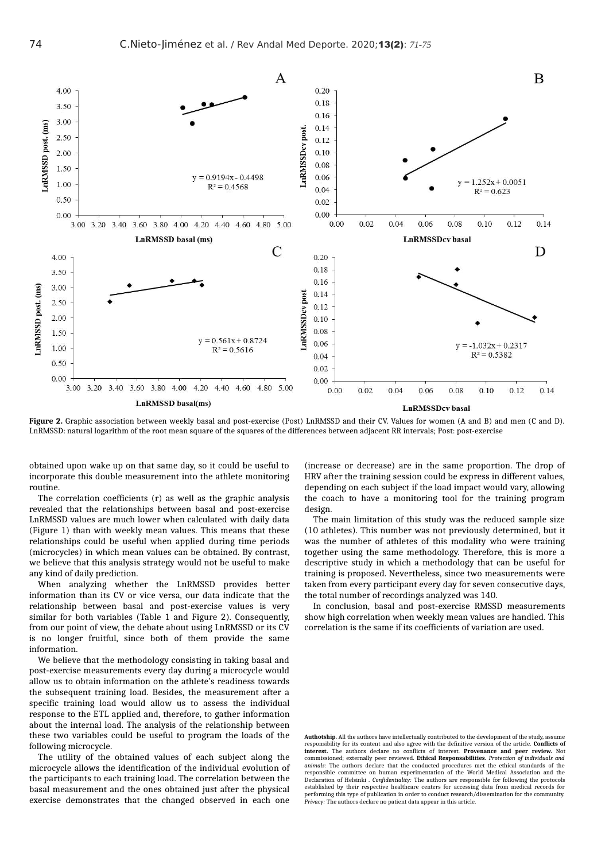

**Figure 2.** Graphic association between weekly basal and post-exercise (Post) LnRMSSD and their CV. Values for women (A and B) and men (C and D). LnRMSSD: natural logarithm of the root mean square of the squares of the differences between adjacent RR intervals; Post: post-exercise

obtained upon wake up on that same day, so it could be useful to incorporate this double measurement into the athlete monitoring routine.

The correlation coefficients (r) as well as the graphic analysis revealed that the relationships between basal and post-exercise LnRMSSD values are much lower when calculated with daily data (Figure 1) than with weekly mean values. This means that these relationships could be useful when applied during time periods (microcycles) in which mean values can be obtained. By contrast, we believe that this analysis strategy would not be useful to make any kind of daily prediction.

When analyzing whether the LnRMSSD provides better information than its CV or vice versa, our data indicate that the relationship between basal and post-exercise values is very similar for both variables (Table 1 and Figure 2). Consequently, from our point of view, the debate about using LnRMSSD or its CV is no longer fruitful, since both of them provide the same information.

We believe that the methodology consisting in taking basal and post-exercise measurements every day during a microcycle would allow us to obtain information on the athlete's readiness towards the subsequent training load. Besides, the measurement after a specific training load would allow us to assess the individual response to the ETL applied and, therefore, to gather information about the internal load. The analysis of the relationship between these two variables could be useful to program the loads of the following microcycle.

The utility of the obtained values of each subject along the microcycle allows the identification of the individual evolution of the participants to each training load. The correlation between the basal measurement and the ones obtained just after the physical exercise demonstrates that the changed observed in each one

(increase or decrease) are in the same proportion. The drop of HRV after the training session could be express in different values, depending on each subject if the load impact would vary, allowing the coach to have a monitoring tool for the training program design.

The main limitation of this study was the reduced sample size (10 athletes). This number was not previously determined, but it was the number of athletes of this modality who were training together using the same methodology. Therefore, this is more a descriptive study in which a methodology that can be useful for training is proposed. Nevertheless, since two measurements were taken from every participant every day for seven consecutive days, the total number of recordings analyzed was 140.

In conclusion, basal and post-exercise RMSSD measurements show high correlation when weekly mean values are handled. This correlation is the same if its coefficients of variation are used.

**Authotship.** All the authors have intellectually contributed to the development of the study, assume responsibility for its content and also agree with the definitive version of the article. **Conflicts of interest.** The authors declare no conflicts of interest. **Provenance and peer review.** Not commissioned; externally peer reviewed. **Ethical Responsabilities.** *Protection of individuals and animals:* The authors declare that the conducted procedures met the ethical standards of the responsible committee on human experimentation of the World Medical Association and the Declaration of Helsinki . *Confidentiality:* The authors are responsible for following the protocols established by their respective healthcare centers for accessing data from medical records for performing this type of publication in order to conduct research/dissemination for the community. *Privacy:* The authors declare no patient data appear in this article.